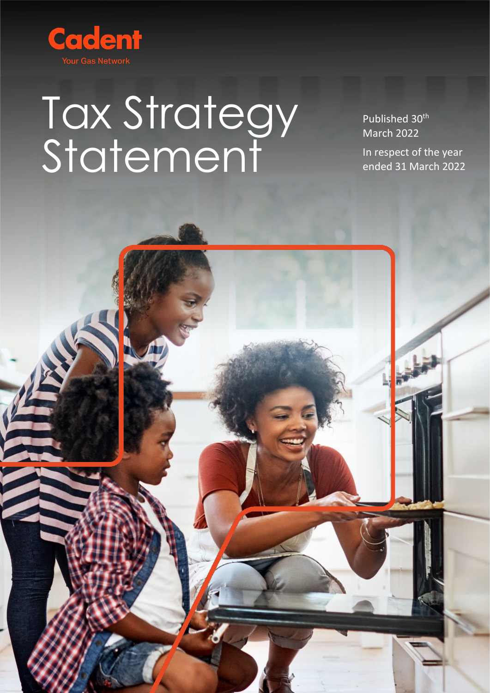

# Tax Strategy Statement

Published 30<sup>th</sup> March 2022

In respect of the year ended 31 March 2022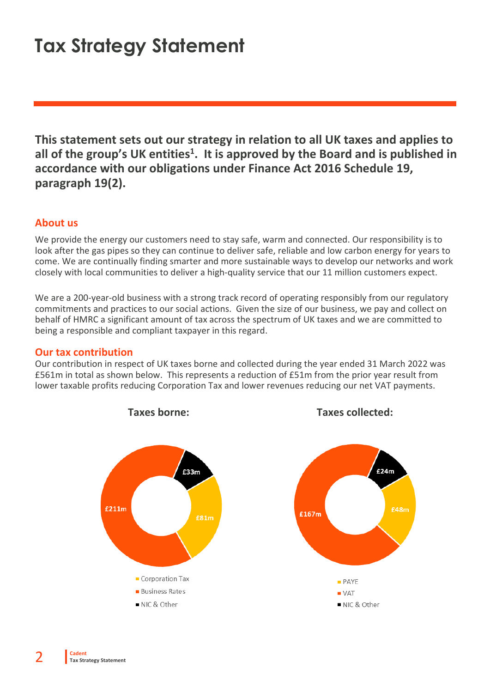## **Tax Strategy Statement**

**This statement sets out our strategy in relation to all UK taxes and applies to all of the group's UK entities1. It is approved by the Board and is published in accordance with our obligations under Finance Act 2016 Schedule 19, paragraph 19(2).**

#### **About us**

We provide the energy our customers need to stay safe, warm and connected. Our responsibility is to look after the gas pipes so they can continue to deliver safe, reliable and low carbon energy for years to come. We are continually finding smarter and more sustainable ways to develop our networks and work closely with local communities to deliver a high-quality service that our 11 million customers expect.

We are a 200-year-old business with a strong track record of operating responsibly from our regulatory commitments and practices to our social actions. Given the size of our business, we pay and collect on behalf of HMRC a significant amount of tax across the spectrum of UK taxes and we are committed to being a responsible and compliant taxpayer in this regard.

#### **Our tax contribution**

Our contribution in respect of UK taxes borne and collected during the year ended 31 March 2022 was £561m in total as shown below. This represents a reduction of £51m from the prior year result from lower taxable profits reducing Corporation Tax and lower revenues reducing our net VAT payments.